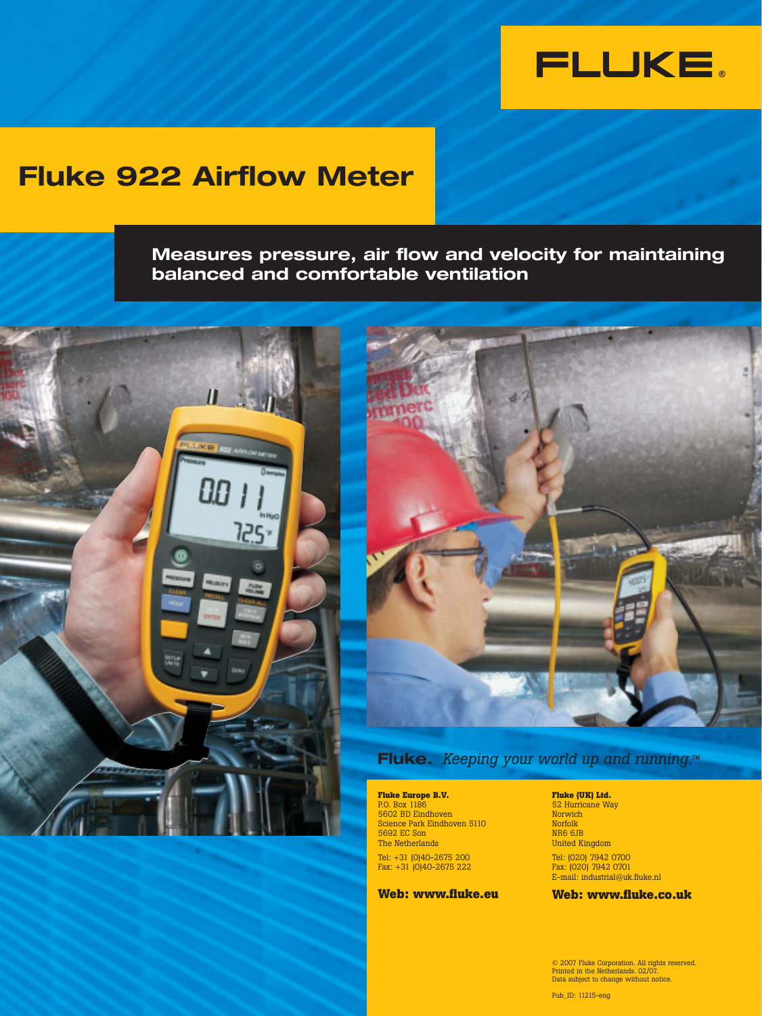

## **Fluke 922 Airflow Meter**

**Measures pressure, air flow and velocity for maintaining balanced and comfortable ventilation**





## **Fluke.** *Keeping your world up and running.*<sup>*M</sup></sup></sup>*

**Fluke Europe B.V.** P.O. Box 1186 5602 BD Eindhoven Science Park Eindhoven 5110 5692 EC Son The Netherlands Tel: +31 (0)40-2675 200 Fax: +31 (0)40-2675 222

#### **Web: www.fluke.eu**

**Fluke (UK) Ltd.**

52 Hurricane Way Norwich Norfolk NR6 6JB United Kingdom Tel: (020) 7942 0700 Fax: (020) 7942 0701 E-mail: industrial@uk.fluke.nl

**Web: www.fluke.co.uk**

© 2007 Fluke Corporation. All rights reserved. Printed in the Netherlands. 02/07. Data subject to change without notice.

Pub\_ID: 11215-eng